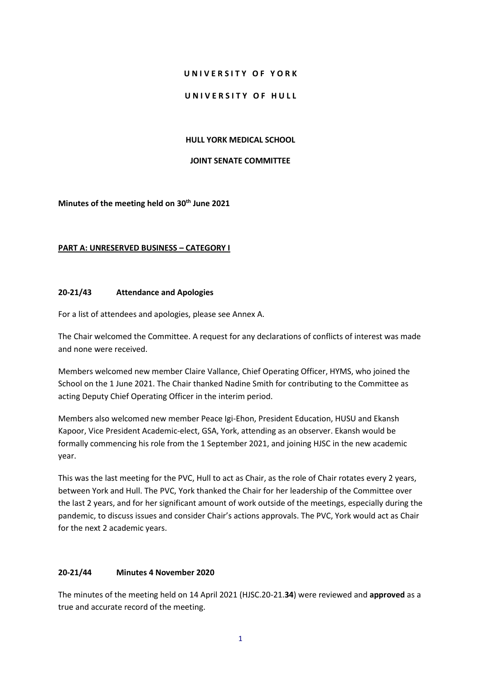#### **U N I V E R S I T Y O F Y O R K**

#### UNIVERSITY OF HULL

#### **HULL YORK MEDICAL SCHOOL**

#### **JOINT SENATE COMMITTEE**

**Minutes of the meeting held on 30th June 2021**

#### **PART A: UNRESERVED BUSINESS – CATEGORY I**

#### **20-21/43 Attendance and Apologies**

For a list of attendees and apologies, please see Annex A.

The Chair welcomed the Committee. A request for any declarations of conflicts of interest was made and none were received.

Members welcomed new member Claire Vallance, Chief Operating Officer, HYMS, who joined the School on the 1 June 2021. The Chair thanked Nadine Smith for contributing to the Committee as acting Deputy Chief Operating Officer in the interim period.

Members also welcomed new member Peace Igi-Ehon, President Education, HUSU and Ekansh Kapoor, Vice President Academic-elect, GSA, York, attending as an observer. Ekansh would be formally commencing his role from the 1 September 2021, and joining HJSC in the new academic year.

This was the last meeting for the PVC, Hull to act as Chair, as the role of Chair rotates every 2 years, between York and Hull. The PVC, York thanked the Chair for her leadership of the Committee over the last 2 years, and for her significant amount of work outside of the meetings, especially during the pandemic, to discuss issues and consider Chair's actions approvals. The PVC, York would act as Chair for the next 2 academic years.

### **20-21/44 Minutes 4 November 2020**

The minutes of the meeting held on 14 April 2021 (HJSC.20-21.**34**) were reviewed and **approved** as a true and accurate record of the meeting.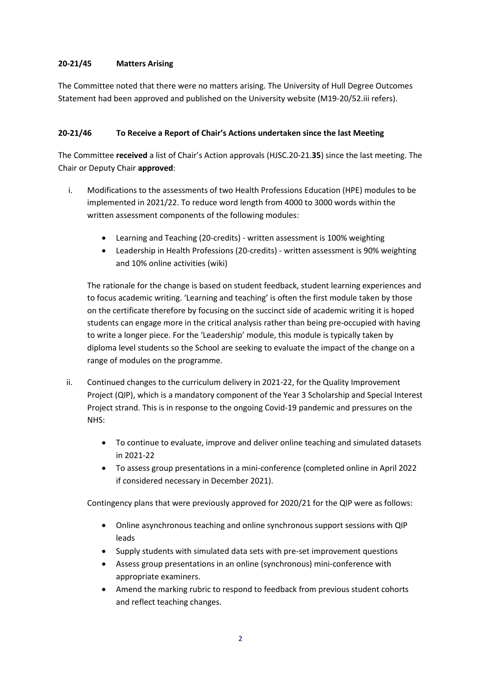# **20-21/45 Matters Arising**

The Committee noted that there were no matters arising. The University of Hull Degree Outcomes Statement had been approved and published on the University website (M19-20/52.iii refers).

# **20-21/46 To Receive a Report of Chair's Actions undertaken since the last Meeting**

The Committee **received** a list of Chair's Action approvals (HJSC.20-21.**35**) since the last meeting. The Chair or Deputy Chair **approved**:

- i. Modifications to the assessments of two Health Professions Education (HPE) modules to be implemented in 2021/22. To reduce word length from 4000 to 3000 words within the written assessment components of the following modules:
	- Learning and Teaching (20-credits) written assessment is 100% weighting
	- Leadership in Health Professions (20-credits) written assessment is 90% weighting and 10% online activities (wiki)

The rationale for the change is based on student feedback, student learning experiences and to focus academic writing. 'Learning and teaching' is often the first module taken by those on the certificate therefore by focusing on the succinct side of academic writing it is hoped students can engage more in the critical analysis rather than being pre-occupied with having to write a longer piece. For the 'Leadership' module, this module is typically taken by diploma level students so the School are seeking to evaluate the impact of the change on a range of modules on the programme.

- ii. Continued changes to the curriculum delivery in 2021-22, for the Quality Improvement Project (QIP), which is a mandatory component of the Year 3 Scholarship and Special Interest Project strand. This is in response to the ongoing Covid-19 pandemic and pressures on the NHS:
	- To continue to evaluate, improve and deliver online teaching and simulated datasets in 2021-22
	- To assess group presentations in a mini-conference (completed online in April 2022 if considered necessary in December 2021).

Contingency plans that were previously approved for 2020/21 for the QIP were as follows:

- Online asynchronous teaching and online synchronous support sessions with QIP leads
- Supply students with simulated data sets with pre-set improvement questions
- Assess group presentations in an online (synchronous) mini-conference with appropriate examiners.
- Amend the marking rubric to respond to feedback from previous student cohorts and reflect teaching changes.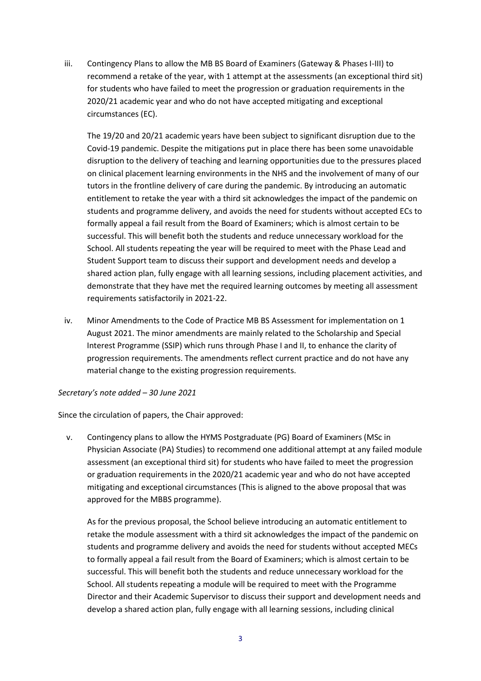iii. Contingency Plans to allow the MB BS Board of Examiners (Gateway & Phases I-III) to recommend a retake of the year, with 1 attempt at the assessments (an exceptional third sit) for students who have failed to meet the progression or graduation requirements in the 2020/21 academic year and who do not have accepted mitigating and exceptional circumstances (EC).

The 19/20 and 20/21 academic years have been subject to significant disruption due to the Covid-19 pandemic. Despite the mitigations put in place there has been some unavoidable disruption to the delivery of teaching and learning opportunities due to the pressures placed on clinical placement learning environments in the NHS and the involvement of many of our tutors in the frontline delivery of care during the pandemic. By introducing an automatic entitlement to retake the year with a third sit acknowledges the impact of the pandemic on students and programme delivery, and avoids the need for students without accepted ECs to formally appeal a fail result from the Board of Examiners; which is almost certain to be successful. This will benefit both the students and reduce unnecessary workload for the School. All students repeating the year will be required to meet with the Phase Lead and Student Support team to discuss their support and development needs and develop a shared action plan, fully engage with all learning sessions, including placement activities, and demonstrate that they have met the required learning outcomes by meeting all assessment requirements satisfactorily in 2021-22.

iv. Minor Amendments to the Code of Practice MB BS Assessment for implementation on 1 August 2021. The minor amendments are mainly related to the Scholarship and Special Interest Programme (SSIP) which runs through Phase I and II, to enhance the clarity of progression requirements. The amendments reflect current practice and do not have any material change to the existing progression requirements.

#### *Secretary's note added – 30 June 2021*

Since the circulation of papers, the Chair approved:

v. Contingency plans to allow the HYMS Postgraduate (PG) Board of Examiners (MSc in Physician Associate (PA) Studies) to recommend one additional attempt at any failed module assessment (an exceptional third sit) for students who have failed to meet the progression or graduation requirements in the 2020/21 academic year and who do not have accepted mitigating and exceptional circumstances (This is aligned to the above proposal that was approved for the MBBS programme).

As for the previous proposal, the School believe introducing an automatic entitlement to retake the module assessment with a third sit acknowledges the impact of the pandemic on students and programme delivery and avoids the need for students without accepted MECs to formally appeal a fail result from the Board of Examiners; which is almost certain to be successful. This will benefit both the students and reduce unnecessary workload for the School. All students repeating a module will be required to meet with the Programme Director and their Academic Supervisor to discuss their support and development needs and develop a shared action plan, fully engage with all learning sessions, including clinical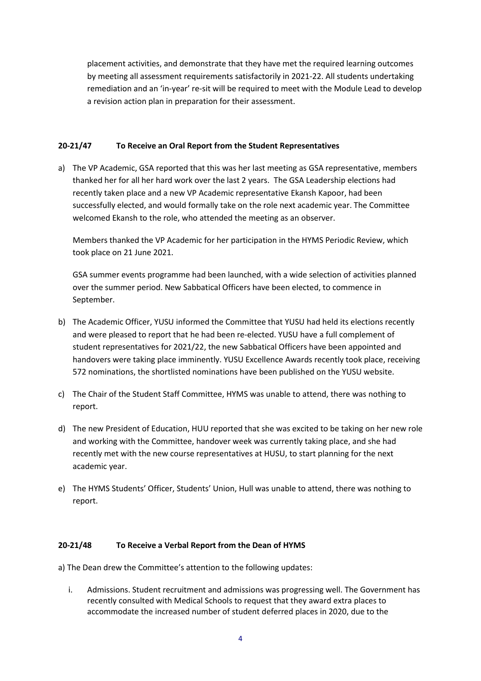placement activities, and demonstrate that they have met the required learning outcomes by meeting all assessment requirements satisfactorily in 2021-22. All students undertaking remediation and an 'in-year' re-sit will be required to meet with the Module Lead to develop a revision action plan in preparation for their assessment.

### **20-21/47 To Receive an Oral Report from the Student Representatives**

a) The VP Academic, GSA reported that this was her last meeting as GSA representative, members thanked her for all her hard work over the last 2 years. The GSA Leadership elections had recently taken place and a new VP Academic representative Ekansh Kapoor, had been successfully elected, and would formally take on the role next academic year. The Committee welcomed Ekansh to the role, who attended the meeting as an observer.

Members thanked the VP Academic for her participation in the HYMS Periodic Review, which took place on 21 June 2021.

GSA summer events programme had been launched, with a wide selection of activities planned over the summer period. New Sabbatical Officers have been elected, to commence in September.

- b) The Academic Officer, YUSU informed the Committee that YUSU had held its elections recently and were pleased to report that he had been re-elected. YUSU have a full complement of student representatives for 2021/22, the new Sabbatical Officers have been appointed and handovers were taking place imminently. YUSU Excellence Awards recently took place, receiving 572 nominations, the shortlisted nominations have been published on the YUSU website.
- c) The Chair of the Student Staff Committee, HYMS was unable to attend, there was nothing to report.
- d) The new President of Education, HUU reported that she was excited to be taking on her new role and working with the Committee, handover week was currently taking place, and she had recently met with the new course representatives at HUSU, to start planning for the next academic year.
- e) The HYMS Students' Officer, Students' Union, Hull was unable to attend, there was nothing to report.

#### **20-21/48 To Receive a Verbal Report from the Dean of HYMS**

a) The Dean drew the Committee's attention to the following updates:

i. Admissions. Student recruitment and admissions was progressing well. The Government has recently consulted with Medical Schools to request that they award extra places to accommodate the increased number of student deferred places in 2020, due to the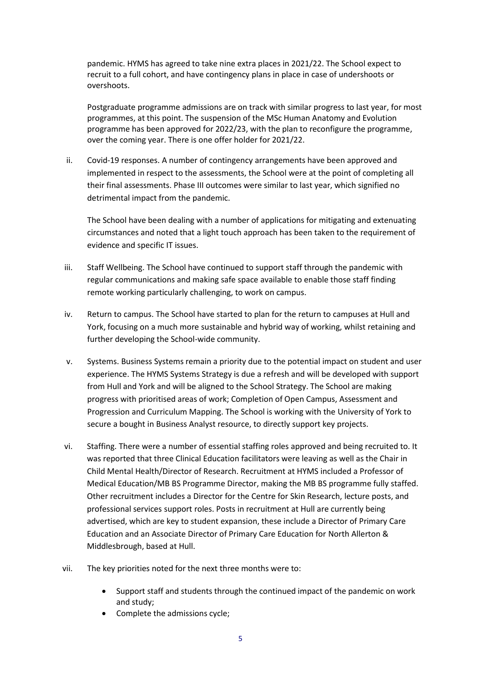pandemic. HYMS has agreed to take nine extra places in 2021/22. The School expect to recruit to a full cohort, and have contingency plans in place in case of undershoots or overshoots.

Postgraduate programme admissions are on track with similar progress to last year, for most programmes, at this point. The suspension of the MSc Human Anatomy and Evolution programme has been approved for 2022/23, with the plan to reconfigure the programme, over the coming year. There is one offer holder for 2021/22.

ii. Covid-19 responses. A number of contingency arrangements have been approved and implemented in respect to the assessments, the School were at the point of completing all their final assessments. Phase III outcomes were similar to last year, which signified no detrimental impact from the pandemic.

The School have been dealing with a number of applications for mitigating and extenuating circumstances and noted that a light touch approach has been taken to the requirement of evidence and specific IT issues.

- iii. Staff Wellbeing. The School have continued to support staff through the pandemic with regular communications and making safe space available to enable those staff finding remote working particularly challenging, to work on campus.
- iv. Return to campus. The School have started to plan for the return to campuses at Hull and York, focusing on a much more sustainable and hybrid way of working, whilst retaining and further developing the School-wide community.
- v. Systems. Business Systems remain a priority due to the potential impact on student and user experience. The HYMS Systems Strategy is due a refresh and will be developed with support from Hull and York and will be aligned to the School Strategy. The School are making progress with prioritised areas of work; Completion of Open Campus, Assessment and Progression and Curriculum Mapping. The School is working with the University of York to secure a bought in Business Analyst resource, to directly support key projects.
- vi. Staffing. There were a number of essential staffing roles approved and being recruited to. It was reported that three Clinical Education facilitators were leaving as well as the Chair in Child Mental Health/Director of Research. Recruitment at HYMS included a Professor of Medical Education/MB BS Programme Director, making the MB BS programme fully staffed. Other recruitment includes a Director for the Centre for Skin Research, lecture posts, and professional services support roles. Posts in recruitment at Hull are currently being advertised, which are key to student expansion, these include a Director of Primary Care Education and an Associate Director of Primary Care Education for North Allerton & Middlesbrough, based at Hull.
- vii. The key priorities noted for the next three months were to:
	- Support staff and students through the continued impact of the pandemic on work and study;
	- Complete the admissions cycle;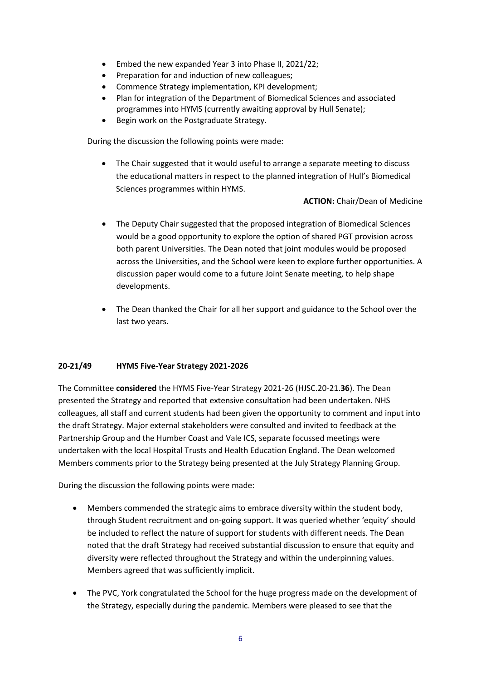- Embed the new expanded Year 3 into Phase II, 2021/22;
- Preparation for and induction of new colleagues;
- Commence Strategy implementation, KPI development;
- Plan for integration of the Department of Biomedical Sciences and associated programmes into HYMS (currently awaiting approval by Hull Senate);
- Begin work on the Postgraduate Strategy.

During the discussion the following points were made:

 The Chair suggested that it would useful to arrange a separate meeting to discuss the educational matters in respect to the planned integration of Hull's Biomedical Sciences programmes within HYMS.

**ACTION:** Chair/Dean of Medicine

- The Deputy Chair suggested that the proposed integration of Biomedical Sciences would be a good opportunity to explore the option of shared PGT provision across both parent Universities. The Dean noted that joint modules would be proposed across the Universities, and the School were keen to explore further opportunities. A discussion paper would come to a future Joint Senate meeting, to help shape developments.
- The Dean thanked the Chair for all her support and guidance to the School over the last two years.

## **20-21/49 HYMS Five-Year Strategy 2021-2026**

The Committee **considered** the HYMS Five-Year Strategy 2021-26 (HJSC.20-21.**36**). The Dean presented the Strategy and reported that extensive consultation had been undertaken. NHS colleagues, all staff and current students had been given the opportunity to comment and input into the draft Strategy. Major external stakeholders were consulted and invited to feedback at the Partnership Group and the Humber Coast and Vale ICS, separate focussed meetings were undertaken with the local Hospital Trusts and Health Education England. The Dean welcomed Members comments prior to the Strategy being presented at the July Strategy Planning Group.

During the discussion the following points were made:

- Members commended the strategic aims to embrace diversity within the student body, through Student recruitment and on-going support. It was queried whether 'equity' should be included to reflect the nature of support for students with different needs. The Dean noted that the draft Strategy had received substantial discussion to ensure that equity and diversity were reflected throughout the Strategy and within the underpinning values. Members agreed that was sufficiently implicit.
- The PVC, York congratulated the School for the huge progress made on the development of the Strategy, especially during the pandemic. Members were pleased to see that the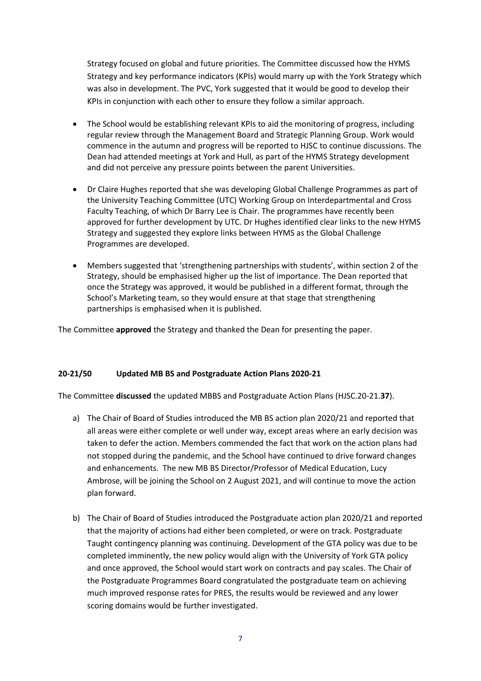Strategy focused on global and future priorities. The Committee discussed how the HYMS Strategy and key performance indicators (KPIs) would marry up with the York Strategy which was also in development. The PVC, York suggested that it would be good to develop their KPIs in conjunction with each other to ensure they follow a similar approach.

- The School would be establishing relevant KPIs to aid the monitoring of progress, including regular review through the Management Board and Strategic Planning Group. Work would commence in the autumn and progress will be reported to HJSC to continue discussions. The Dean had attended meetings at York and Hull, as part of the HYMS Strategy development and did not perceive any pressure points between the parent Universities.
- Dr Claire Hughes reported that she was developing Global Challenge Programmes as part of the University Teaching Committee (UTC) Working Group on Interdepartmental and Cross Faculty Teaching, of which Dr Barry Lee is Chair. The programmes have recently been approved for further development by UTC. Dr Hughes identified clear links to the new HYMS Strategy and suggested they explore links between HYMS as the Global Challenge Programmes are developed.
- Members suggested that 'strengthening partnerships with students', within section 2 of the Strategy, should be emphasised higher up the list of importance. The Dean reported that once the Strategy was approved, it would be published in a different format, through the School's Marketing team, so they would ensure at that stage that strengthening partnerships is emphasised when it is published.

The Committee **approved** the Strategy and thanked the Dean for presenting the paper.

## **20-21/50 Updated MB BS and Postgraduate Action Plans 2020-21**

The Committee **discussed** the updated MBBS and Postgraduate Action Plans (HJSC.20-21.**37**).

- a) The Chair of Board of Studies introduced the MB BS action plan 2020/21 and reported that all areas were either complete or well under way, except areas where an early decision was taken to defer the action. Members commended the fact that work on the action plans had not stopped during the pandemic, and the School have continued to drive forward changes and enhancements. The new MB BS Director/Professor of Medical Education, Lucy Ambrose, will be joining the School on 2 August 2021, and will continue to move the action plan forward.
- b) The Chair of Board of Studies introduced the Postgraduate action plan 2020/21 and reported that the majority of actions had either been completed, or were on track. Postgraduate Taught contingency planning was continuing. Development of the GTA policy was due to be completed imminently, the new policy would align with the University of York GTA policy and once approved, the School would start work on contracts and pay scales. The Chair of the Postgraduate Programmes Board congratulated the postgraduate team on achieving much improved response rates for PRES, the results would be reviewed and any lower scoring domains would be further investigated.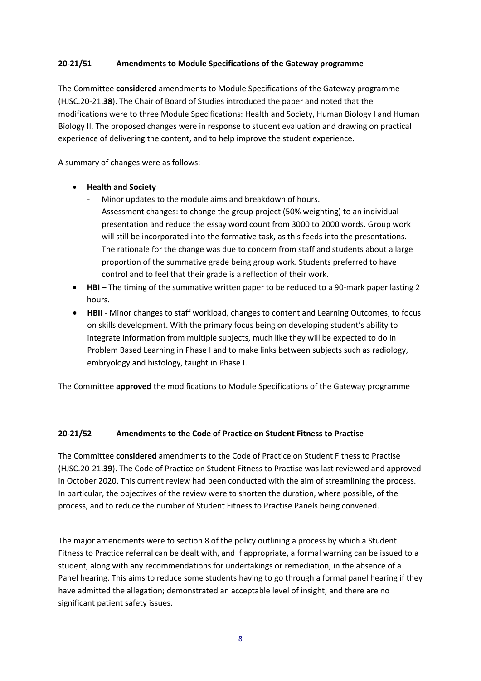## **20-21/51 Amendments to Module Specifications of the Gateway programme**

The Committee **considered** amendments to Module Specifications of the Gateway programme (HJSC.20-21.**38**). The Chair of Board of Studies introduced the paper and noted that the modifications were to three Module Specifications: Health and Society, Human Biology I and Human Biology II. The proposed changes were in response to student evaluation and drawing on practical experience of delivering the content, and to help improve the student experience.

A summary of changes were as follows:

- **Health and Society**
	- Minor updates to the module aims and breakdown of hours.
	- Assessment changes: to change the group project (50% weighting) to an individual presentation and reduce the essay word count from 3000 to 2000 words. Group work will still be incorporated into the formative task, as this feeds into the presentations. The rationale for the change was due to concern from staff and students about a large proportion of the summative grade being group work. Students preferred to have control and to feel that their grade is a reflection of their work.
- **HBI**  The timing of the summative written paper to be reduced to a 90-mark paper lasting 2 hours.
- **HBII**  Minor changes to staff workload, changes to content and Learning Outcomes, to focus on skills development. With the primary focus being on developing student's ability to integrate information from multiple subjects, much like they will be expected to do in Problem Based Learning in Phase I and to make links between subjects such as radiology, embryology and histology, taught in Phase I.

The Committee **approved** the modifications to Module Specifications of the Gateway programme

#### **20-21/52 Amendments to the Code of Practice on Student Fitness to Practise**

The Committee **considered** amendments to the Code of Practice on Student Fitness to Practise (HJSC.20-21.**39**). The Code of Practice on Student Fitness to Practise was last reviewed and approved in October 2020. This current review had been conducted with the aim of streamlining the process. In particular, the objectives of the review were to shorten the duration, where possible, of the process, and to reduce the number of Student Fitness to Practise Panels being convened.

The major amendments were to section 8 of the policy outlining a process by which a Student Fitness to Practice referral can be dealt with, and if appropriate, a formal warning can be issued to a student, along with any recommendations for undertakings or remediation, in the absence of a Panel hearing. This aims to reduce some students having to go through a formal panel hearing if they have admitted the allegation; demonstrated an acceptable level of insight; and there are no significant patient safety issues.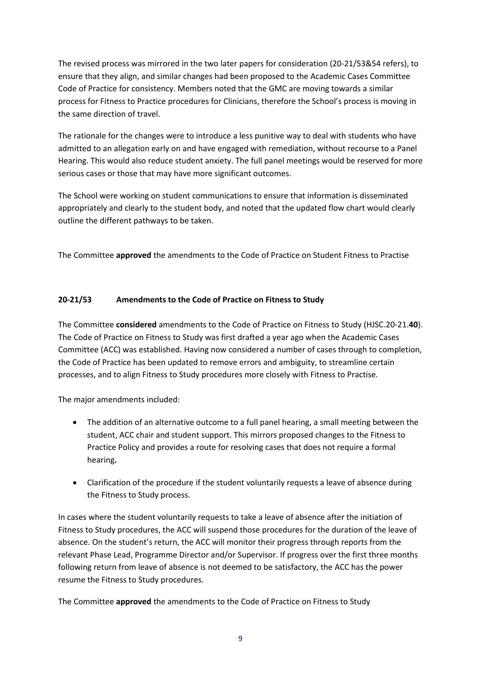The revised process was mirrored in the two later papers for consideration (20-21/53&54 refers), to ensure that they align, and similar changes had been proposed to the Academic Cases Committee Code of Practice for consistency. Members noted that the GMC are moving towards a similar process for Fitness to Practice procedures for Clinicians, therefore the School's process is moving in the same direction of travel.

The rationale for the changes were to introduce a less punitive way to deal with students who have admitted to an allegation early on and have engaged with remediation, without recourse to a Panel Hearing. This would also reduce student anxiety. The full panel meetings would be reserved for more serious cases or those that may have more significant outcomes.

The School were working on student communications to ensure that information is disseminated appropriately and clearly to the student body, and noted that the updated flow chart would clearly outline the different pathways to be taken.

The Committee **approved** the amendments to the Code of Practice on Student Fitness to Practise

# **20-21/53 Amendments to the Code of Practice on Fitness to Study**

The Committee **considered** amendments to the Code of Practice on Fitness to Study (HJSC.20-21.**40**). The Code of Practice on Fitness to Study was first drafted a year ago when the Academic Cases Committee (ACC) was established. Having now considered a number of cases through to completion, the Code of Practice has been updated to remove errors and ambiguity, to streamline certain processes, and to align Fitness to Study procedures more closely with Fitness to Practise.

The major amendments included:

- The addition of an alternative outcome to a full panel hearing, a small meeting between the student, ACC chair and student support. This mirrors proposed changes to the Fitness to Practice Policy and provides a route for resolving cases that does not require a formal hearing**.**
- Clarification of the procedure if the student voluntarily requests a leave of absence during the Fitness to Study process.

In cases where the student voluntarily requests to take a leave of absence after the initiation of Fitness to Study procedures, the ACC will suspend those procedures for the duration of the leave of absence. On the student's return, the ACC will monitor their progress through reports from the relevant Phase Lead, Programme Director and/or Supervisor. If progress over the first three months following return from leave of absence is not deemed to be satisfactory, the ACC has the power resume the Fitness to Study procedures.

The Committee **approved** the amendments to the Code of Practice on Fitness to Study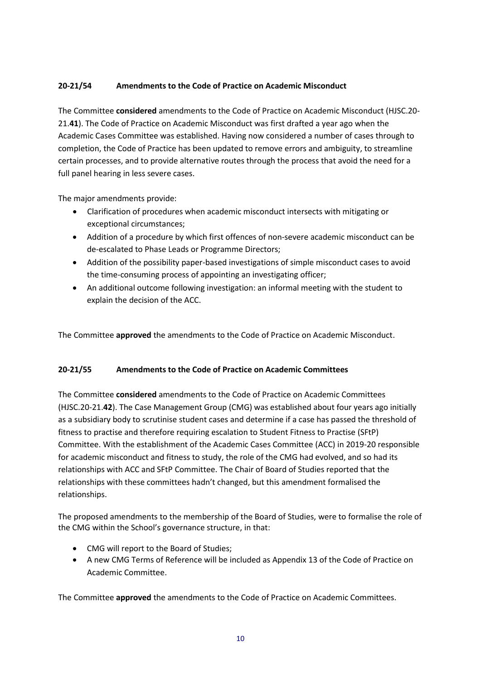# **20-21/54 Amendments to the Code of Practice on Academic Misconduct**

The Committee **considered** amendments to the Code of Practice on Academic Misconduct (HJSC.20- 21.**41**). The Code of Practice on Academic Misconduct was first drafted a year ago when the Academic Cases Committee was established. Having now considered a number of cases through to completion, the Code of Practice has been updated to remove errors and ambiguity, to streamline certain processes, and to provide alternative routes through the process that avoid the need for a full panel hearing in less severe cases.

The major amendments provide:

- Clarification of procedures when academic misconduct intersects with mitigating or exceptional circumstances;
- Addition of a procedure by which first offences of non-severe academic misconduct can be de-escalated to Phase Leads or Programme Directors;
- Addition of the possibility paper-based investigations of simple misconduct cases to avoid the time-consuming process of appointing an investigating officer;
- An additional outcome following investigation: an informal meeting with the student to explain the decision of the ACC.

The Committee **approved** the amendments to the Code of Practice on Academic Misconduct.

## **20-21/55 Amendments to the Code of Practice on Academic Committees**

The Committee **considered** amendments to the Code of Practice on Academic Committees (HJSC.20-21.**42**). The Case Management Group (CMG) was established about four years ago initially as a subsidiary body to scrutinise student cases and determine if a case has passed the threshold of fitness to practise and therefore requiring escalation to Student Fitness to Practise (SFtP) Committee. With the establishment of the Academic Cases Committee (ACC) in 2019-20 responsible for academic misconduct and fitness to study, the role of the CMG had evolved, and so had its relationships with ACC and SFtP Committee. The Chair of Board of Studies reported that the relationships with these committees hadn't changed, but this amendment formalised the relationships.

The proposed amendments to the membership of the Board of Studies, were to formalise the role of the CMG within the School's governance structure, in that:

- CMG will report to the Board of Studies;
- A new CMG Terms of Reference will be included as Appendix 13 of the Code of Practice on Academic Committee.

The Committee **approved** the amendments to the Code of Practice on Academic Committees.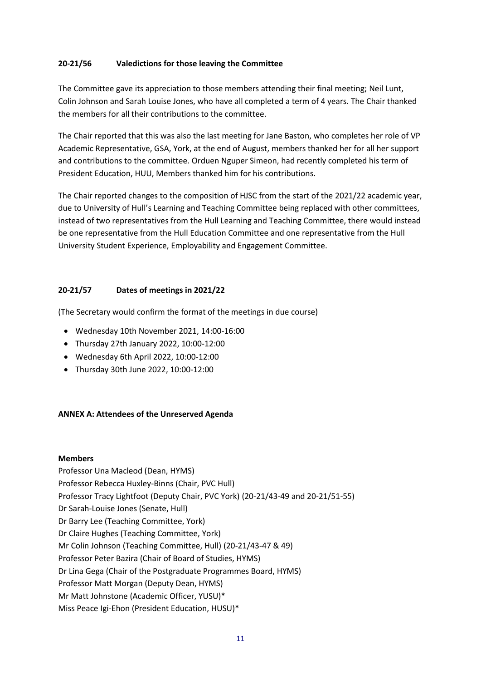### **20-21/56 Valedictions for those leaving the Committee**

The Committee gave its appreciation to those members attending their final meeting; Neil Lunt, Colin Johnson and Sarah Louise Jones, who have all completed a term of 4 years. The Chair thanked the members for all their contributions to the committee.

The Chair reported that this was also the last meeting for Jane Baston, who completes her role of VP Academic Representative, GSA, York, at the end of August, members thanked her for all her support and contributions to the committee. Orduen Nguper Simeon, had recently completed his term of President Education, HUU, Members thanked him for his contributions.

The Chair reported changes to the composition of HJSC from the start of the 2021/22 academic year, due to University of Hull's Learning and Teaching Committee being replaced with other committees, instead of two representatives from the Hull Learning and Teaching Committee, there would instead be one representative from the Hull Education Committee and one representative from the Hull University Student Experience, Employability and Engagement Committee.

## **20-21/57 Dates of meetings in 2021/22**

(The Secretary would confirm the format of the meetings in due course)

- Wednesday 10th November 2021, 14:00-16:00
- Thursday 27th January 2022, 10:00-12:00
- Wednesday 6th April 2022, 10:00-12:00
- Thursday 30th June 2022, 10:00-12:00

## **ANNEX A: Attendees of the Unreserved Agenda**

#### **Members**

Professor Una Macleod (Dean, HYMS) Professor Rebecca Huxley-Binns (Chair, PVC Hull) Professor Tracy Lightfoot (Deputy Chair, PVC York) (20-21/43-49 and 20-21/51-55) Dr Sarah-Louise Jones (Senate, Hull) Dr Barry Lee (Teaching Committee, York) Dr Claire Hughes (Teaching Committee, York) Mr Colin Johnson (Teaching Committee, Hull) (20-21/43-47 & 49) Professor Peter Bazira (Chair of Board of Studies, HYMS) Dr Lina Gega (Chair of the Postgraduate Programmes Board, HYMS) Professor Matt Morgan (Deputy Dean, HYMS) Mr Matt Johnstone (Academic Officer, YUSU)\* Miss Peace Igi-Ehon (President Education, HUSU)\*